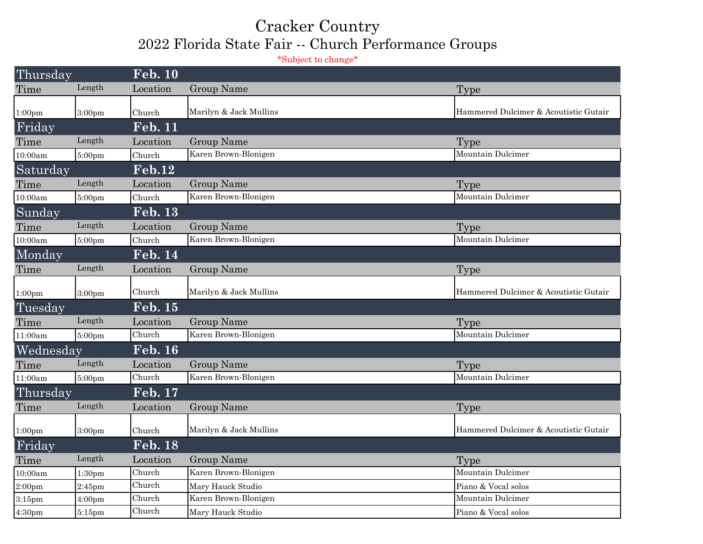## Cracker Country 2022 Florida State Fair -- Church Performance Groups

\*Subject to change\*

| Thursday           |                    | <b>Feb. 10</b>    |                        |                                       |  |
|--------------------|--------------------|-------------------|------------------------|---------------------------------------|--|
| Time               | Length             | Location          | Group Name             | <b>Type</b>                           |  |
| 1:00 <sub>pm</sub> | 3:00pm             | Church            | Marilyn & Jack Mullins | Hammered Dulcimer & Acoutistic Gutair |  |
| Friday             |                    | <b>Feb. 11</b>    |                        |                                       |  |
| Time               | Length             | Location          | <b>Group Name</b>      | <b>Type</b>                           |  |
| 10:00am            | 5:00pm             | Church            | Karen Brown-Blonigen   | Mountain Dulcimer                     |  |
| Saturday           |                    | $\mathbf{Feb.12}$ |                        |                                       |  |
| Time               | Length             | Location          | Group Name             | Type                                  |  |
| 10:00am            | 5:00pm             | Church            | Karen Brown-Blonigen   | Mountain Dulcimer                     |  |
| Sunday             |                    | <b>Feb. 13</b>    |                        |                                       |  |
| Time               | Length             | Location          | Group Name             | Type                                  |  |
| 10:00am            | 5:00pm             | Church            | Karen Brown-Blonigen   | Mountain Dulcimer                     |  |
| Monday             |                    | <b>Feb. 14</b>    |                        |                                       |  |
| Time               | Length             | Location          | Group Name             | Type                                  |  |
| 1:00 <sub>pm</sub> | 3:00 <sub>pm</sub> | Church            | Marilyn & Jack Mullins | Hammered Dulcimer & Acoutistic Gutair |  |
| Tuesday            |                    | <b>Feb. 15</b>    |                        |                                       |  |
| Time               | Length             | Location          | Group Name             | Type                                  |  |
| 11:00am            | 5:00 <sub>pm</sub> | Church            | Karen Brown-Blonigen   | Mountain Dulcimer                     |  |
| Wednesday          |                    | <b>Feb. 16</b>    |                        |                                       |  |
| Time               | Length             | Location          | Group Name             | Type                                  |  |
| 11:00am            | 5:00pm             | Church            | Karen Brown-Blonigen   | Mountain Dulcimer                     |  |
| Thursday           |                    | Feb. 17           |                        |                                       |  |
| Time               | Length             | Location          | Group Name             | Type                                  |  |
| 1:00 <sub>pm</sub> | 3:00 <sub>pm</sub> | Church            | Marilyn & Jack Mullins | Hammered Dulcimer & Acoutistic Gutair |  |
| Friday             |                    | <b>Feb. 18</b>    |                        |                                       |  |
| Time               | Length             | Location          | Group Name             | Type                                  |  |
| 10:00am            | 1:30 <sub>pm</sub> | Church            | Karen Brown-Blonigen   | Mountain Dulcimer                     |  |
| 2:00 <sub>pm</sub> | $2:45$ pm          | Church            | Mary Hauck Studio      | Piano & Vocal solos                   |  |
| $3:15$ pm          | 4:00 <sub>pm</sub> | Church            | Karen Brown-Blonigen   | Mountain Dulcimer                     |  |
| 4:30 <sub>pm</sub> | $5:15$ pm          | Church            | Mary Hauck Studio      | Piano & Vocal solos                   |  |